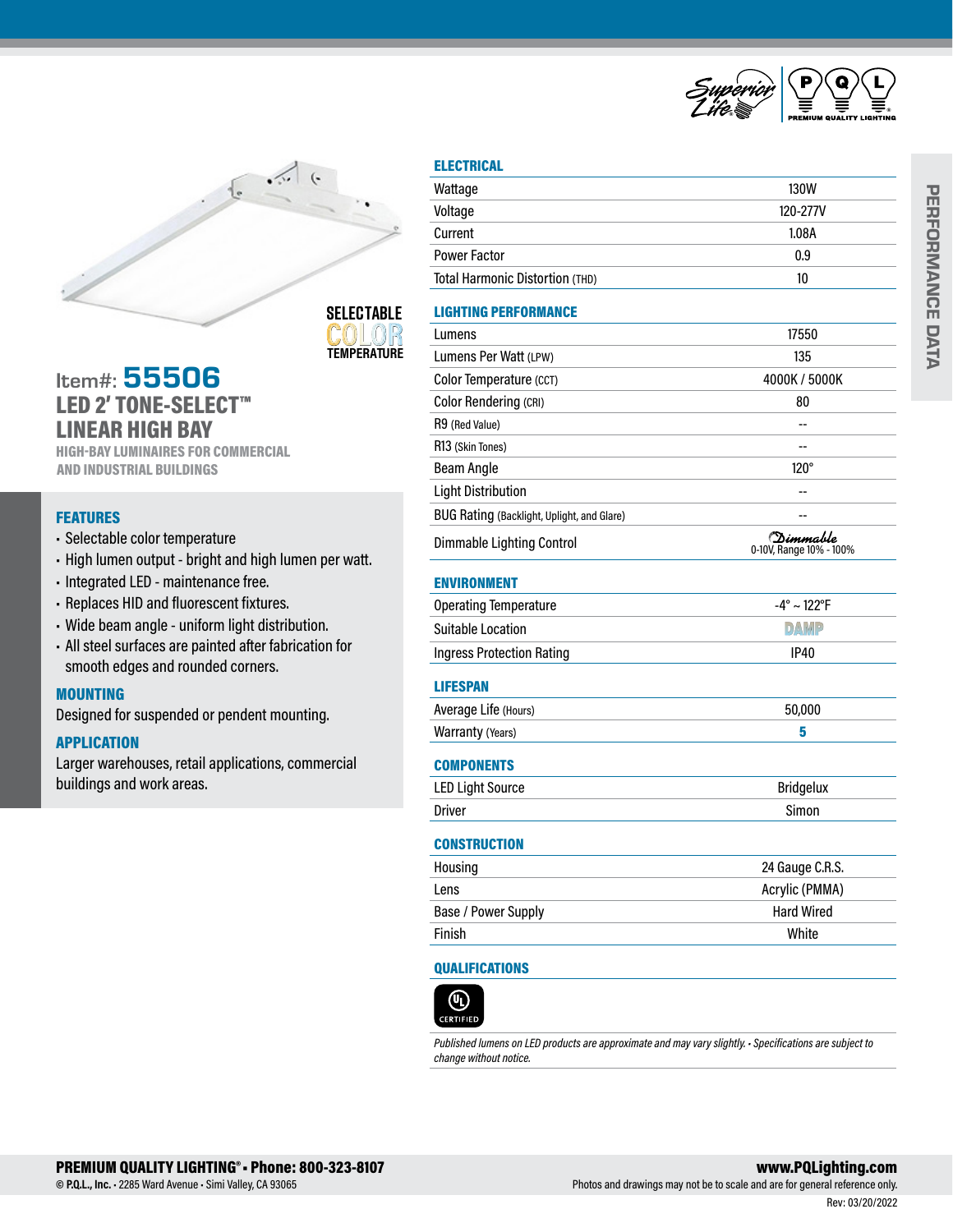



**SELECTABLE TEMPERATURE**

# Item#: 55506 LED 2' TONE-SELECT™ LINEAR HIGH BAY

HIGH-BAY LUMINAIRES FOR COMMERCIAL AND INDUSTRIAL BUILDINGS

## **FEATURES**

- Selectable color temperature
- High lumen output bright and high lumen per watt.
- Integrated LED maintenance free.
- Replaces HID and fluorescent fixtures.
- Wide beam angle uniform light distribution.
- All steel surfaces are painted after fabrication for smooth edges and rounded corners.

## **MOUNTING**

Designed for suspended or pendent mounting.

## APPLICATION

Larger warehouses, retail applications, commercial buildings and work areas.

| <b>ELECTRICAL</b>                          |                                              |  |
|--------------------------------------------|----------------------------------------------|--|
| Wattage                                    | 130W                                         |  |
| Voltage                                    | 120-277V                                     |  |
| Current                                    | 1.08A                                        |  |
| <b>Power Factor</b>                        | 0.9                                          |  |
| Total Harmonic Distortion (THD)            | 10                                           |  |
| <b>LIGHTING PERFORMANCE</b>                |                                              |  |
| Lumens                                     | 17550                                        |  |
| Lumens Per Watt (LPW)                      | 135                                          |  |
| Color Temperature (CCT)                    | 4000K / 5000K                                |  |
| <b>Color Rendering (CRI)</b>               | 80                                           |  |
| R9 (Red Value)                             |                                              |  |
| R13 (Skin Tones)                           | --                                           |  |
| <b>Beam Angle</b>                          | $120^\circ$                                  |  |
| <b>Light Distribution</b>                  |                                              |  |
| BUG Rating (Backlight, Uplight, and Glare) |                                              |  |
| Dimmable Lighting Control                  | <i>(Dimmabl</i> e<br>0-10V, Range 10% - 100% |  |
| <b>ENVIRONMENT</b>                         |                                              |  |
| <b>Operating Temperature</b>               | $-4^{\circ} \sim 122^{\circ}F$               |  |
| <b>Suitable Location</b>                   | <b>DAMP</b>                                  |  |
| <b>Ingress Protection Rating</b>           | <b>IP40</b>                                  |  |
| <b>LIFESPAN</b>                            |                                              |  |
| Average Life (Hours)                       | 50,000                                       |  |
| Warranty (Years)                           | 5                                            |  |
| <b>COMPONENTS</b>                          |                                              |  |
| <b>LED Light Source</b>                    | <b>Bridgelux</b>                             |  |
| <b>Driver</b>                              | Simon                                        |  |
| <b>CONSTRUCTION</b>                        |                                              |  |
| Housing                                    | 24 Gauge C.R.S.                              |  |

| <b>HOUSING</b>      | 24 Gauge C.R.S.   |
|---------------------|-------------------|
| Lens                | Acrylic (PMMA)    |
| Base / Power Supply | <b>Hard Wired</b> |
| Finish              | White             |

# QUALIFICATIONS



*Published lumens on LED products are approximate and may vary slightly. • Specifications are subject to change without notice.*